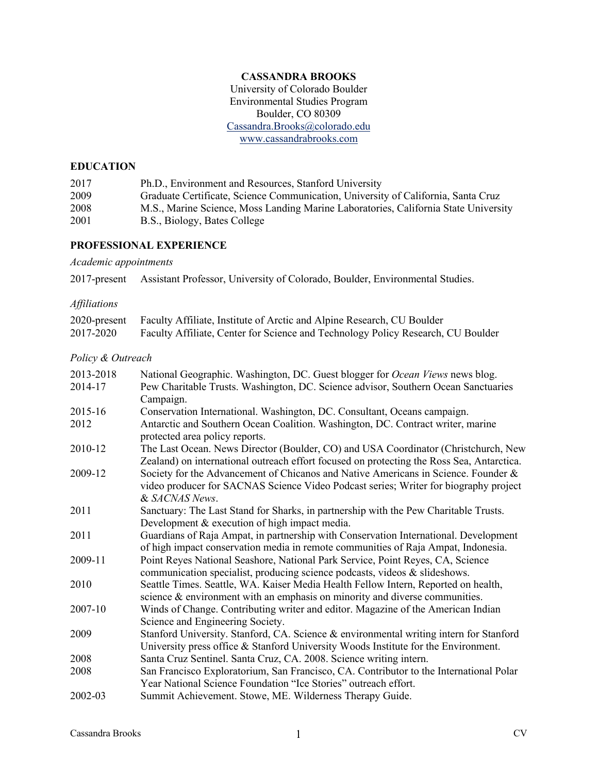# **CASSANDRA BROOKS**

University of Colorado Boulder Environmental Studies Program Boulder, CO 80309 Cassandra.Brooks@colorado.edu www.cassandrabrooks.com

#### **EDUCATION**

| 2017 | Ph.D., Environment and Resources, Stanford University                               |
|------|-------------------------------------------------------------------------------------|
| 2009 | Graduate Certificate, Science Communication, University of California, Santa Cruz   |
| 2008 | M.S., Marine Science, Moss Landing Marine Laboratories, California State University |
| 2001 | B.S., Biology, Bates College                                                        |

# **PROFESSIONAL EXPERIENCE**

*Academic appointments*

2017-present Assistant Professor, University of Colorado, Boulder, Environmental Studies.

# *Affiliations*

|           | 2020-present Faculty Affiliate, Institute of Arctic and Alpine Research, CU Boulder |
|-----------|-------------------------------------------------------------------------------------|
| 2017-2020 | Faculty Affiliate, Center for Science and Technology Policy Research, CU Boulder    |

### *Policy & Outreach*

| 2013-2018 | National Geographic. Washington, DC. Guest blogger for Ocean Views news blog.             |
|-----------|-------------------------------------------------------------------------------------------|
| 2014-17   | Pew Charitable Trusts. Washington, DC. Science advisor, Southern Ocean Sanctuaries        |
|           | Campaign.                                                                                 |
| 2015-16   | Conservation International. Washington, DC. Consultant, Oceans campaign.                  |
| 2012      | Antarctic and Southern Ocean Coalition. Washington, DC. Contract writer, marine           |
|           | protected area policy reports.                                                            |
| 2010-12   | The Last Ocean. News Director (Boulder, CO) and USA Coordinator (Christchurch, New        |
|           | Zealand) on international outreach effort focused on protecting the Ross Sea, Antarctica. |
| 2009-12   | Society for the Advancement of Chicanos and Native Americans in Science. Founder &        |
|           | video producer for SACNAS Science Video Podcast series; Writer for biography project      |
|           | & SACNAS News.                                                                            |
| 2011      | Sanctuary: The Last Stand for Sharks, in partnership with the Pew Charitable Trusts.      |
|           | Development & execution of high impact media.                                             |
| 2011      | Guardians of Raja Ampat, in partnership with Conservation International. Development      |
|           | of high impact conservation media in remote communities of Raja Ampat, Indonesia.         |
| 2009-11   | Point Reyes National Seashore, National Park Service, Point Reyes, CA, Science            |
|           | communication specialist, producing science podcasts, videos & slideshows.                |
| 2010      | Seattle Times. Seattle, WA. Kaiser Media Health Fellow Intern, Reported on health,        |
|           | science $\&$ environment with an emphasis on minority and diverse communities.            |
| 2007-10   | Winds of Change. Contributing writer and editor. Magazine of the American Indian          |
|           | Science and Engineering Society.                                                          |
| 2009      | Stanford University. Stanford, CA. Science & environmental writing intern for Stanford    |
|           | University press office & Stanford University Woods Institute for the Environment.        |
| 2008      | Santa Cruz Sentinel. Santa Cruz, CA. 2008. Science writing intern.                        |
| 2008      | San Francisco Exploratorium, San Francisco, CA. Contributor to the International Polar    |
|           | Year National Science Foundation "Ice Stories" outreach effort.                           |
| 2002-03   | Summit Achievement. Stowe, ME. Wilderness Therapy Guide.                                  |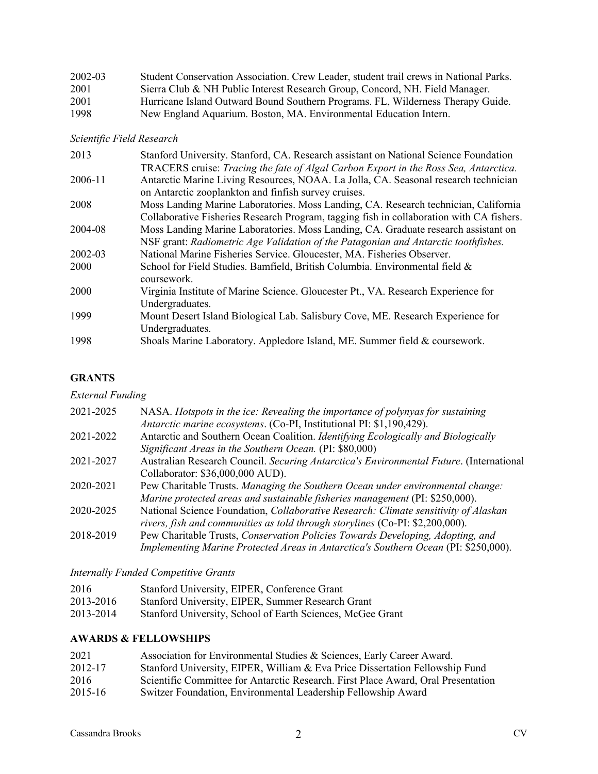| 2002-03 | Student Conservation Association. Crew Leader, student trail crews in National Parks. |
|---------|---------------------------------------------------------------------------------------|
| 2001    | Sierra Club & NH Public Interest Research Group, Concord, NH. Field Manager.          |
| 2001    | Hurricane Island Outward Bound Southern Programs. FL, Wilderness Therapy Guide.       |
| 1998    | New England Aquarium. Boston, MA. Environmental Education Intern.                     |

*Scientific Field Research*

| 2013    | Stanford University. Stanford, CA. Research assistant on National Science Foundation     |
|---------|------------------------------------------------------------------------------------------|
|         | TRACERS cruise: Tracing the fate of Algal Carbon Export in the Ross Sea, Antarctica.     |
| 2006-11 | Antarctic Marine Living Resources, NOAA. La Jolla, CA. Seasonal research technician      |
|         | on Antarctic zooplankton and finfish survey cruises.                                     |
| 2008    | Moss Landing Marine Laboratories. Moss Landing, CA. Research technician, California      |
|         | Collaborative Fisheries Research Program, tagging fish in collaboration with CA fishers. |
| 2004-08 | Moss Landing Marine Laboratories. Moss Landing, CA. Graduate research assistant on       |
|         | NSF grant: Radiometric Age Validation of the Patagonian and Antarctic toothfishes.       |
| 2002-03 | National Marine Fisheries Service. Gloucester, MA. Fisheries Observer.                   |
| 2000    | School for Field Studies. Bamfield, British Columbia. Environmental field &              |
|         | coursework.                                                                              |
| 2000    | Virginia Institute of Marine Science. Gloucester Pt., VA. Research Experience for        |
|         | Undergraduates.                                                                          |
| 1999    | Mount Desert Island Biological Lab. Salisbury Cove, ME. Research Experience for          |
|         | Undergraduates.                                                                          |
| 1998    | Shoals Marine Laboratory. Appledore Island, ME. Summer field & coursework.               |

# **GRANTS**

*External Funding*

| 2021-2025 | NASA. Hotspots in the ice: Revealing the importance of polynyas for sustaining<br>Antarctic marine ecosystems. (Co-PI, Institutional PI: \$1,190,429).                |
|-----------|-----------------------------------------------------------------------------------------------------------------------------------------------------------------------|
| 2021-2022 | Antarctic and Southern Ocean Coalition. Identifying Ecologically and Biologically<br>Significant Areas in the Southern Ocean. (PI: \$80,000)                          |
| 2021-2027 | Australian Research Council. Securing Antarctica's Environmental Future. (International<br>Collaborator: \$36,000,000 AUD).                                           |
| 2020-2021 | Pew Charitable Trusts. Managing the Southern Ocean under environmental change:<br>Marine protected areas and sustainable fisheries management (PI: \$250,000).        |
| 2020-2025 | National Science Foundation, Collaborative Research: Climate sensitivity of Alaskan<br>rivers, fish and communities as told through storylines (Co-PI: \$2,200,000).  |
| 2018-2019 | Pew Charitable Trusts, Conservation Policies Towards Developing, Adopting, and<br>Implementing Marine Protected Areas in Antarctica's Southern Ocean (PI: \$250,000). |

# *Internally Funded Competitive Grants*

| 2016      | Stanford University, EIPER, Conference Grant               |
|-----------|------------------------------------------------------------|
| 2013-2016 | Stanford University, EIPER, Summer Research Grant          |
| 2013-2014 | Stanford University, School of Earth Sciences, McGee Grant |

# **AWARDS & FELLOWSHIPS**

| 2021    | Association for Environmental Studies & Sciences, Early Career Award.             |
|---------|-----------------------------------------------------------------------------------|
| 2012-17 | Stanford University, EIPER, William & Eva Price Dissertation Fellowship Fund      |
| 2016    | Scientific Committee for Antarctic Research. First Place Award, Oral Presentation |
| 2015-16 | Switzer Foundation, Environmental Leadership Fellowship Award                     |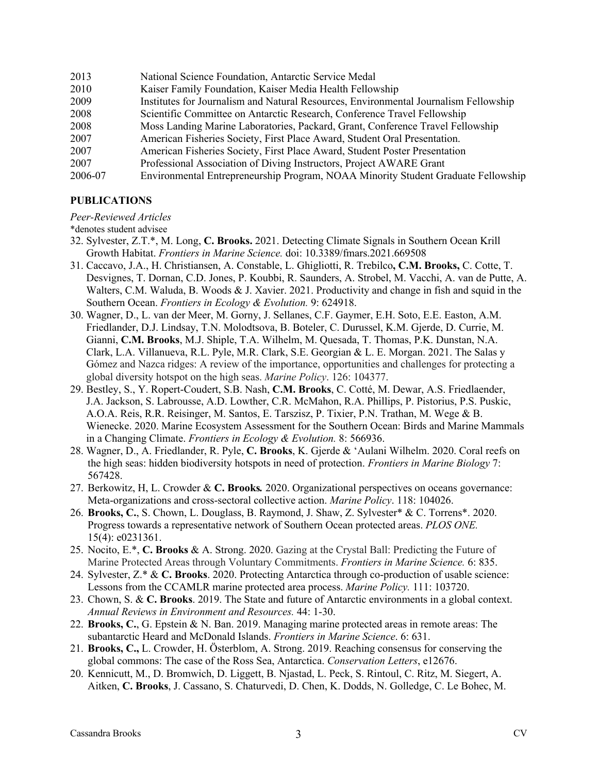| 2013    | National Science Foundation, Antarctic Service Medal                                 |
|---------|--------------------------------------------------------------------------------------|
| 2010    | Kaiser Family Foundation, Kaiser Media Health Fellowship                             |
| 2009    | Institutes for Journalism and Natural Resources, Environmental Journalism Fellowship |
| 2008    | Scientific Committee on Antarctic Research, Conference Travel Fellowship             |
| 2008    | Moss Landing Marine Laboratories, Packard, Grant, Conference Travel Fellowship       |
| 2007    | American Fisheries Society, First Place Award, Student Oral Presentation.            |
| 2007    | American Fisheries Society, First Place Award, Student Poster Presentation           |
| 2007    | Professional Association of Diving Instructors, Project AWARE Grant                  |
| 2006-07 | Environmental Entrepreneurship Program, NOAA Minority Student Graduate Fellowship    |
|         |                                                                                      |

### **PUBLICATIONS**

*Peer-Reviewed Articles*

\*denotes student advisee

- 32. Sylvester, Z.T.\*, M. Long, **C. Brooks.** 2021. Detecting Climate Signals in Southern Ocean Krill Growth Habitat. *Frontiers in Marine Science.* doi: 10.3389/fmars.2021.669508
- 31. Caccavo, J.A., H. Christiansen, A. Constable, L. Ghigliotti, R. Trebilco**, C.M. Brooks,** C. Cotte, T. Desvignes, T. Dornan, C.D. Jones, P. Koubbi, R. Saunders, A. Strobel, M. Vacchi, A. van de Putte, A. Walters, C.M. Waluda, B. Woods & J. Xavier. 2021. Productivity and change in fish and squid in the Southern Ocean. *Frontiers in Ecology & Evolution.* 9: 624918.
- 30. Wagner, D., L. van der Meer, M. Gorny, J. Sellanes, C.F. Gaymer, E.H. Soto, E.E. Easton, A.M. Friedlander, D.J. Lindsay, T.N. Molodtsova, B. Boteler, C. Durussel, K.M. Gjerde, D. Currie, M. Gianni, **C.M. Brooks**, M.J. Shiple, T.A. Wilhelm, M. Quesada, T. Thomas, P.K. Dunstan, N.A. Clark, L.A. Villanueva, R.L. Pyle, M.R. Clark, S.E. Georgian & L. E. Morgan. 2021. The Salas y Gómez and Nazca ridges: A review of the importance, opportunities and challenges for protecting a global diversity hotspot on the high seas. *Marine Policy*. 126: 104377.
- 29. Bestley, S., Y. Ropert-Coudert, S.B. Nash, **C.M. Brooks**, C. Cotté, M. Dewar, A.S. Friedlaender, J.A. Jackson, S. Labrousse, A.D. Lowther, C.R. McMahon, R.A. Phillips, P. Pistorius, P.S. Puskic, A.O.A. Reis, R.R. Reisinger, M. Santos, E. Tarszisz, P. Tixier, P.N. Trathan, M. Wege & B. Wienecke. 2020. Marine Ecosystem Assessment for the Southern Ocean: Birds and Marine Mammals in a Changing Climate. *Frontiers in Ecology & Evolution.* 8: 566936.
- 28. Wagner, D., A. Friedlander, R. Pyle, **C. Brooks**, K. Gjerde & 'Aulani Wilhelm. 2020. Coral reefs on the high seas: hidden biodiversity hotspots in need of protection. *Frontiers in Marine Biology* 7: 567428.
- 27. Berkowitz, H, L. Crowder & **C. Brooks***.* 2020. Organizational perspectives on oceans governance: Meta-organizations and cross-sectoral collective action. *Marine Policy*. 118: 104026.
- 26. **Brooks, C.**, S. Chown, L. Douglass, B. Raymond, J. Shaw, Z. Sylvester\* & C. Torrens\*. 2020. Progress towards a representative network of Southern Ocean protected areas. *PLOS ONE.* 15(4): e0231361.
- 25. Nocito, E.\*, **C. Brooks** & A. Strong. 2020. Gazing at the Crystal Ball: Predicting the Future of Marine Protected Areas through Voluntary Commitments. *Frontiers in Marine Science.* 6: 835.
- 24. Sylvester, Z.\* & **C. Brooks**. 2020. Protecting Antarctica through co-production of usable science: Lessons from the CCAMLR marine protected area process. *Marine Policy.* 111: 103720.
- 23. Chown, S. & **C. Brooks**. 2019. The State and future of Antarctic environments in a global context. *Annual Reviews in Environment and Resources.* 44: 1-30.
- 22. **Brooks, C.**, G. Epstein & N. Ban. 2019. Managing marine protected areas in remote areas: The subantarctic Heard and McDonald Islands. *Frontiers in Marine Science*. 6: 631.
- 21. **Brooks, C.,** L. Crowder, H. Österblom, A. Strong. 2019. Reaching consensus for conserving the global commons: The case of the Ross Sea, Antarctica. *Conservation Letters*, e12676.
- 20. Kennicutt, M., D. Bromwich, D. Liggett, B. Njastad, L. Peck, S. Rintoul, C. Ritz, M. Siegert, A. Aitken, **C. Brooks**, J. Cassano, S. Chaturvedi, D. Chen, K. Dodds, N. Golledge, C. Le Bohec, M.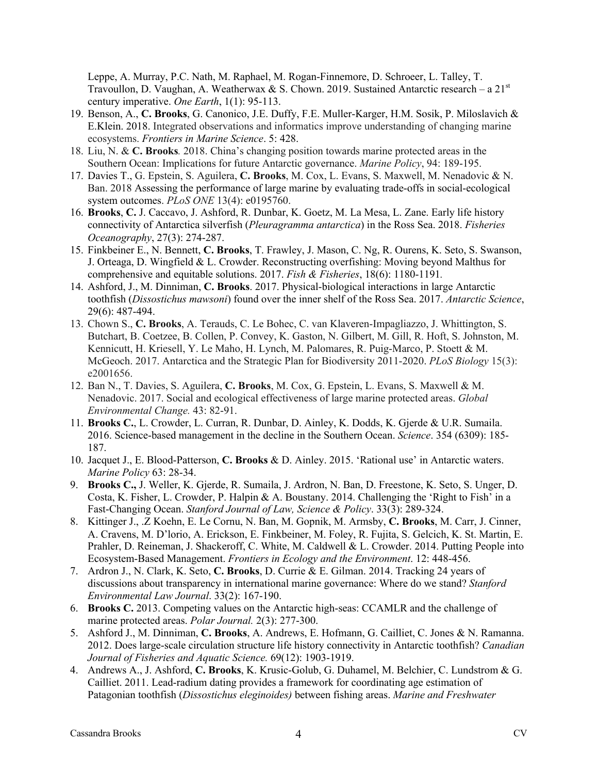Leppe, A. Murray, P.C. Nath, M. Raphael, M. Rogan-Finnemore, D. Schroeer, L. Talley, T. Travoullon, D. Vaughan, A. Weatherwax & S. Chown. 2019. Sustained Antarctic research – a  $21^{st}$ century imperative. *One Earth*, 1(1): 95-113.

- 19. Benson, A., **C. Brooks**, G. Canonico, J.E. Duffy, F.E. Muller-Karger, H.M. Sosik, P. Miloslavich & E.Klein. 2018. Integrated observations and informatics improve understanding of changing marine ecosystems. *Frontiers in Marine Science*. 5: 428.
- 18. Liu, N. & **C. Brooks***.* 2018. China's changing position towards marine protected areas in the Southern Ocean: Implications for future Antarctic governance. *Marine Policy*, 94: 189-195.
- 17. Davies T., G. Epstein, S. Aguilera, **C. Brooks**, M. Cox, L. Evans, S. Maxwell, M. Nenadovic & N. Ban. 2018 Assessing the performance of large marine by evaluating trade-offs in social-ecological system outcomes. *PLoS ONE* 13(4): e0195760.
- 16. **Brooks**, **C.** J. Caccavo, J. Ashford, R. Dunbar, K. Goetz, M. La Mesa, L. Zane. Early life history connectivity of Antarctica silverfish (*Pleuragramma antarctica*) in the Ross Sea. 2018. *Fisheries Oceanography*, 27(3): 274-287.
- 15. Finkbeiner E., N. Bennett, **C. Brooks**, T. Frawley, J. Mason, C. Ng, R. Ourens, K. Seto, S. Swanson, J. Orteaga, D. Wingfield & L. Crowder. Reconstructing overfishing: Moving beyond Malthus for comprehensive and equitable solutions. 2017. *Fish & Fisheries*, 18(6): 1180-1191*.*
- 14. Ashford, J., M. Dinniman, **C. Brooks**. 2017. Physical-biological interactions in large Antarctic toothfish (*Dissostichus mawsoni*) found over the inner shelf of the Ross Sea. 2017. *Antarctic Science*, 29(6): 487-494.
- 13. Chown S., **C. Brooks**, A. Terauds, C. Le Bohec, C. van Klaveren-Impagliazzo, J. Whittington, S. Butchart, B. Coetzee, B. Collen, P. Convey, K. Gaston, N. Gilbert, M. Gill, R. Hoft, S. Johnston, M. Kennicutt, H. Kriesell, Y. Le Maho, H. Lynch, M. Palomares, R. Puig-Marco, P. Stoett & M. McGeoch. 2017. Antarctica and the Strategic Plan for Biodiversity 2011-2020. *PLoS Biology* 15(3): e2001656.
- 12. Ban N., T. Davies, S. Aguilera, **C. Brooks**, M. Cox, G. Epstein, L. Evans, S. Maxwell & M. Nenadovic. 2017. Social and ecological effectiveness of large marine protected areas. *Global Environmental Change.* 43: 82-91.
- 11. **Brooks C.**, L. Crowder, L. Curran, R. Dunbar, D. Ainley, K. Dodds, K. Gjerde & U.R. Sumaila. 2016. Science-based management in the decline in the Southern Ocean. *Science*. 354 (6309): 185- 187.
- 10. Jacquet J., E. Blood-Patterson, **C. Brooks** & D. Ainley. 2015. 'Rational use' in Antarctic waters. *Marine Policy* 63: 28-34.
- 9. **Brooks C.,** J. Weller, K. Gjerde, R. Sumaila, J. Ardron, N. Ban, D. Freestone, K. Seto, S. Unger, D. Costa, K. Fisher, L. Crowder, P. Halpin & A. Boustany. 2014. Challenging the 'Right to Fish' in a Fast-Changing Ocean. *Stanford Journal of Law, Science & Policy*. 33(3): 289-324.
- 8. Kittinger J., .Z Koehn, E. Le Cornu, N. Ban, M. Gopnik, M. Armsby, **C. Brooks**, M. Carr, J. Cinner, A. Cravens, M. D'lorio, A. Erickson, E. Finkbeiner, M. Foley, R. Fujita, S. Gelcich, K. St. Martin, E. Prahler, D. Reineman, J. Shackeroff, C. White, M. Caldwell & L. Crowder. 2014. Putting People into Ecosystem-Based Management. *Frontiers in Ecology and the Environment*. 12: 448-456.
- 7. Ardron J., N. Clark, K. Seto, **C. Brooks**, D. Currie & E. Gilman. 2014. Tracking 24 years of discussions about transparency in international marine governance: Where do we stand? *Stanford Environmental Law Journal*. 33(2): 167-190.
- 6. **Brooks C.** 2013. Competing values on the Antarctic high-seas: CCAMLR and the challenge of marine protected areas. *Polar Journal.* 2(3): 277-300.
- 5. Ashford J., M. Dinniman, **C. Brooks**, A. Andrews, E. Hofmann, G. Cailliet, C. Jones & N. Ramanna. 2012. Does large-scale circulation structure life history connectivity in Antarctic toothfish? *Canadian Journal of Fisheries and Aquatic Science.* 69(12): 1903-1919.
- 4. Andrews A., J. Ashford, **C. Brooks**, K. Krusic-Golub, G. Duhamel, M. Belchier, C. Lundstrom & G. Cailliet. 2011. Lead-radium dating provides a framework for coordinating age estimation of Patagonian toothfish (*Dissostichus eleginoides)* between fishing areas. *Marine and Freshwater*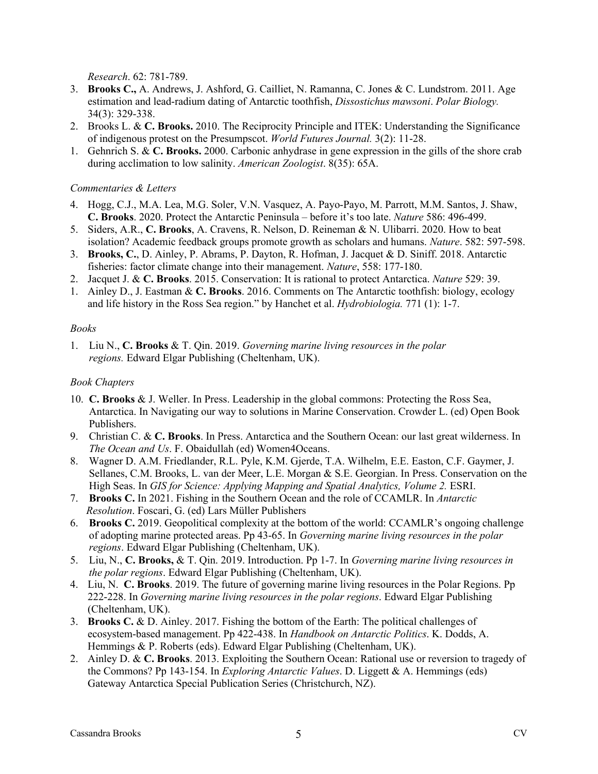*Research*. 62: 781-789.

- 3. **Brooks C.,** A. Andrews, J. Ashford, G. Cailliet, N. Ramanna, C. Jones & C. Lundstrom. 2011. Age estimation and lead-radium dating of Antarctic toothfish, *Dissostichus mawsoni*. *Polar Biology.*  34(3): 329-338.
- 2. Brooks L. & **C. Brooks.** 2010. The Reciprocity Principle and ITEK: Understanding the Significance of indigenous protest on the Presumpscot. *World Futures Journal.* 3(2): 11-28.
- 1. Gehnrich S. & **C. Brooks.** 2000. Carbonic anhydrase in gene expression in the gills of the shore crab during acclimation to low salinity. *American Zoologist*. 8(35): 65A.

# *Commentaries & Letters*

- 4. Hogg, C.J., M.A. Lea, M.G. Soler, V.N. Vasquez, A. Payo-Payo, M. Parrott, M.M. Santos, J. Shaw, **C. Brooks**. 2020. Protect the Antarctic Peninsula – before it's too late. *Nature* 586: 496-499.
- 5. Siders, A.R., **C. Brooks**, A. Cravens, R. Nelson, D. Reineman & N. Ulibarri. 2020. How to beat isolation? Academic feedback groups promote growth as scholars and humans. *Nature*. 582: 597-598.
- 3. **Brooks, C.**, D. Ainley, P. Abrams, P. Dayton, R. Hofman, J. Jacquet & D. Siniff. 2018. Antarctic fisheries: factor climate change into their management. *Nature*, 558: 177-180.
- 2. Jacquet J. & **C. Brooks**. 2015. Conservation: It is rational to protect Antarctica. *Nature* 529: 39.
- 1. Ainley D., J. Eastman & **C. Brooks**. 2016. Comments on The Antarctic toothfish: biology, ecology and life history in the Ross Sea region." by Hanchet et al. *Hydrobiologia.* 771 (1): 1-7.

# *Books*

1. Liu N., **C. Brooks** & T. Qin. 2019. *Governing marine living resources in the polar regions.* Edward Elgar Publishing (Cheltenham, UK).

# *Book Chapters*

- 10. **C. Brooks** & J. Weller. In Press. Leadership in the global commons: Protecting the Ross Sea, Antarctica. In Navigating our way to solutions in Marine Conservation. Crowder L. (ed) Open Book Publishers.
- 9. Christian C. & **C. Brooks**. In Press. Antarctica and the Southern Ocean: our last great wilderness. In *The Ocean and Us*. F. Obaidullah (ed) Women4Oceans.
- 8. Wagner D. A.M. Friedlander, R.L. Pyle, K.M. Gjerde, T.A. Wilhelm, E.E. Easton, C.F. Gaymer, J. Sellanes, C.M. Brooks, L. van der Meer, L.E. Morgan & S.E. Georgian. In Press. Conservation on the High Seas. In *GIS for Science: Applying Mapping and Spatial Analytics, Volume 2.* ESRI.
- 7. **Brooks C.** In 2021. Fishing in the Southern Ocean and the role of CCAMLR. In *Antarctic Resolution*. Foscari, G. (ed) Lars Müller Publishers
- 6. **Brooks C.** 2019. Geopolitical complexity at the bottom of the world: CCAMLR's ongoing challenge of adopting marine protected areas. Pp 43-65. In *Governing marine living resources in the polar regions*. Edward Elgar Publishing (Cheltenham, UK).
- 5. Liu, N., **C. Brooks,** & T. Qin. 2019. Introduction. Pp 1-7. In *Governing marine living resources in the polar regions*. Edward Elgar Publishing (Cheltenham, UK).
- 4. Liu, N. **C. Brooks**. 2019. The future of governing marine living resources in the Polar Regions. Pp 222-228. In *Governing marine living resources in the polar regions*. Edward Elgar Publishing (Cheltenham, UK).
- 3. **Brooks C.** & D. Ainley. 2017. Fishing the bottom of the Earth: The political challenges of ecosystem-based management. Pp 422-438. In *Handbook on Antarctic Politics*. K. Dodds, A. Hemmings & P. Roberts (eds). Edward Elgar Publishing (Cheltenham, UK).
- 2. Ainley D. & **C. Brooks**. 2013. Exploiting the Southern Ocean: Rational use or reversion to tragedy of the Commons? Pp 143-154. In *Exploring Antarctic Values*. D. Liggett & A. Hemmings (eds) Gateway Antarctica Special Publication Series (Christchurch, NZ).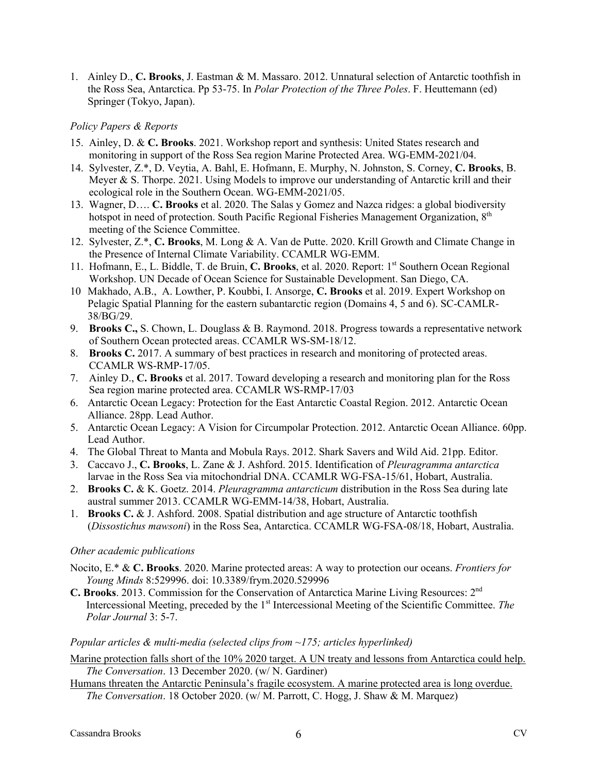1. Ainley D., **C. Brooks**, J. Eastman & M. Massaro. 2012. Unnatural selection of Antarctic toothfish in the Ross Sea, Antarctica. Pp 53-75. In *Polar Protection of the Three Poles*. F. Heuttemann (ed) Springer (Tokyo, Japan).

### *Policy Papers & Reports*

- 15. Ainley, D. & **C. Brooks**. 2021. Workshop report and synthesis: United States research and monitoring in support of the Ross Sea region Marine Protected Area. WG-EMM-2021/04.
- 14. Sylvester, Z.\*, D. Veytia, A. Bahl, E. Hofmann, E. Murphy, N. Johnston, S. Corney, **C. Brooks**, B. Meyer & S. Thorpe. 2021. Using Models to improve our understanding of Antarctic krill and their ecological role in the Southern Ocean. WG-EMM-2021/05.
- 13. Wagner, D…. **C. Brooks** et al. 2020. The Salas y Gomez and Nazca ridges: a global biodiversity hotspot in need of protection. South Pacific Regional Fisheries Management Organization. 8<sup>th</sup> meeting of the Science Committee.
- 12. Sylvester, Z.\*, **C. Brooks**, M. Long & A. Van de Putte. 2020. Krill Growth and Climate Change in the Presence of Internal Climate Variability. CCAMLR WG-EMM.
- 11. Hofmann, E., L. Biddle, T. de Bruin, C. Brooks, et al. 2020. Report: 1<sup>st</sup> Southern Ocean Regional Workshop. UN Decade of Ocean Science for Sustainable Development. San Diego, CA.
- 10 Makhado, A.B., A. Lowther, P. Koubbi, I. Ansorge, **C. Brooks** et al. 2019. Expert Workshop on Pelagic Spatial Planning for the eastern subantarctic region (Domains 4, 5 and 6). SC-CAMLR-38/BG/29.
- 9. **Brooks C.,** S. Chown, L. Douglass & B. Raymond. 2018. Progress towards a representative network of Southern Ocean protected areas. CCAMLR WS-SM-18/12.
- 8. **Brooks C.** 2017. A summary of best practices in research and monitoring of protected areas. CCAMLR WS-RMP-17/05.
- 7. Ainley D., **C. Brooks** et al. 2017. Toward developing a research and monitoring plan for the Ross Sea region marine protected area. CCAMLR WS-RMP-17/03
- 6. Antarctic Ocean Legacy: Protection for the East Antarctic Coastal Region. 2012. Antarctic Ocean Alliance. 28pp. Lead Author.
- 5. Antarctic Ocean Legacy: A Vision for Circumpolar Protection. 2012. Antarctic Ocean Alliance. 60pp. Lead Author.
- 4. The Global Threat to Manta and Mobula Rays. 2012. Shark Savers and Wild Aid. 21pp. Editor.
- 3. Caccavo J., **C. Brooks**, L. Zane & J. Ashford. 2015. Identification of *Pleuragramma antarctica* larvae in the Ross Sea via mitochondrial DNA. CCAMLR WG-FSA-15/61, Hobart, Australia.
- 2. **Brooks C.** & K. Goetz. 2014. *Pleuragramma antarcticum* distribution in the Ross Sea during late austral summer 2013. CCAMLR WG-EMM-14/38, Hobart, Australia.
- 1. **Brooks C.** & J. Ashford. 2008. Spatial distribution and age structure of Antarctic toothfish (*Dissostichus mawsoni*) in the Ross Sea, Antarctica. CCAMLR WG-FSA-08/18, Hobart, Australia.

### *Other academic publications*

- Nocito, E.\* & **C. Brooks**. 2020. Marine protected areas: A way to protection our oceans. *Frontiers for Young Minds* 8:529996. doi: 10.3389/frym.2020.529996
- **C. Brooks**. 2013. Commission for the Conservation of Antarctica Marine Living Resources: 2nd Intercessional Meeting, preceded by the 1<sup>st</sup> Intercessional Meeting of the Scientific Committee. *The Polar Journal* 3: 5-7.

### *Popular articles & multi-media (selected clips from ~175; articles hyperlinked)*

- Marine protection falls short of the 10% 2020 target. A UN treaty and lessons from Antarctica could help. *The Conversation*. 13 December 2020. (w/ N. Gardiner)
- Humans threaten the Antarctic Peninsula's fragile ecosystem. A marine protected area is long overdue. *The Conversation*. 18 October 2020. (w/ M. Parrott, C. Hogg, J. Shaw & M. Marquez)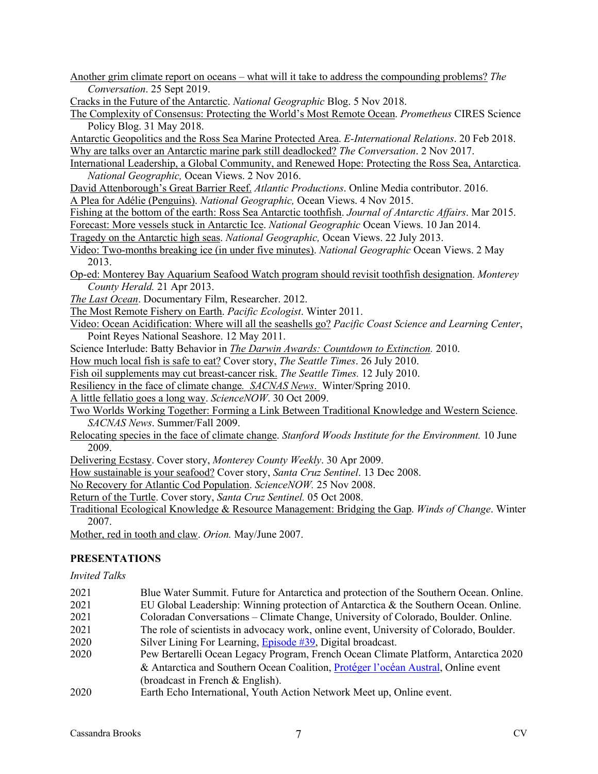- Another grim climate report on oceans what will it take to address the compounding problems? *The Conversation*. 25 Sept 2019.
- Cracks in the Future of the Antarctic. *National Geographic* Blog. 5 Nov 2018.
- The Complexity of Consensus: Protecting the World's Most Remote Ocean. *Prometheus* CIRES Science Policy Blog. 31 May 2018.
- Antarctic Geopolitics and the Ross Sea Marine Protected Area. *E-International Relations*. 20 Feb 2018. Why are talks over an Antarctic marine park still deadlocked? *The Conversation*. 2 Nov 2017.
- International Leadership, a Global Community, and Renewed Hope: Protecting the Ross Sea, Antarctica. *National Geographic,* Ocean Views. 2 Nov 2016.
- David Attenborough's Great Barrier Reef. *Atlantic Productions*. Online Media contributor. 2016.
- A Plea for Adélie (Penguins). *National Geographic,* Ocean Views. 4 Nov 2015.
- Fishing at the bottom of the earth: Ross Sea Antarctic toothfish. *Journal of Antarctic Affairs*. Mar 2015.
- Forecast: More vessels stuck in Antarctic Ice. *National Geographic* Ocean Views. 10 Jan 2014.
- Tragedy on the Antarctic high seas. *National Geographic,* Ocean Views. 22 July 2013.
- Video: Two-months breaking ice (in under five minutes). *National Geographic* Ocean Views. 2 May 2013.
- Op-ed: Monterey Bay Aquarium Seafood Watch program should revisit toothfish designation. *Monterey County Herald.* 21 Apr 2013.
- *The Last Ocean*. Documentary Film, Researcher. 2012.
- The Most Remote Fishery on Earth. *Pacific Ecologist*. Winter 2011.
- Video: Ocean Acidification: Where will all the seashells go? *Pacific Coast Science and Learning Center*, Point Reyes National Seashore. 12 May 2011.
- Science Interlude: Batty Behavior in *The Darwin Awards: Countdown to Extinction.* 2010.
- How much local fish is safe to eat? Cover story, *The Seattle Times*. 26 July 2010.
- Fish oil supplements may cut breast-cancer risk. *The Seattle Times.* 12 July 2010.
- Resiliency in the face of climate change*. SACNAS News*. Winter/Spring 2010.
- A little fellatio goes a long way. *ScienceNOW*. 30 Oct 2009.
- Two Worlds Working Together: Forming a Link Between Traditional Knowledge and Western Science. *SACNAS News*. Summer/Fall 2009.
- Relocating species in the face of climate change. *Stanford Woods Institute for the Environment.* 10 June 2009.
- Delivering Ecstasy. Cover story, *Monterey County Weekly*. 30 Apr 2009.
- How sustainable is your seafood? Cover story, *Santa Cruz Sentinel*. 13 Dec 2008.

No Recovery for Atlantic Cod Population. *ScienceNOW.* 25 Nov 2008.

- Return of the Turtle. Cover story, *Santa Cruz Sentinel.* 05 Oct 2008.
- Traditional Ecological Knowledge & Resource Management: Bridging the Gap. *Winds of Change*. Winter 2007.

Mother, red in tooth and claw. *Orion.* May/June 2007.

### **PRESENTATIONS**

#### *Invited Talks*

| 2021 | Blue Water Summit. Future for Antarctica and protection of the Southern Ocean. Online.  |
|------|-----------------------------------------------------------------------------------------|
| 2021 | EU Global Leadership: Winning protection of Antarctica & the Southern Ocean. Online.    |
| 2021 | Coloradan Conversations – Climate Change, University of Colorado, Boulder. Online.      |
| 2021 | The role of scientists in advocacy work, online event, University of Colorado, Boulder. |
| 2020 | Silver Lining For Learning, Episode #39, Digital broadcast.                             |
| 2020 | Pew Bertarelli Ocean Legacy Program, French Ocean Climate Platform, Antarctica 2020     |
|      | & Antarctica and Southern Ocean Coalition, Protéger l'océan Austral, Online event       |
|      | (broadcast in French & English).                                                        |
| 2020 | Earth Echo International, Youth Action Network Meet up, Online event.                   |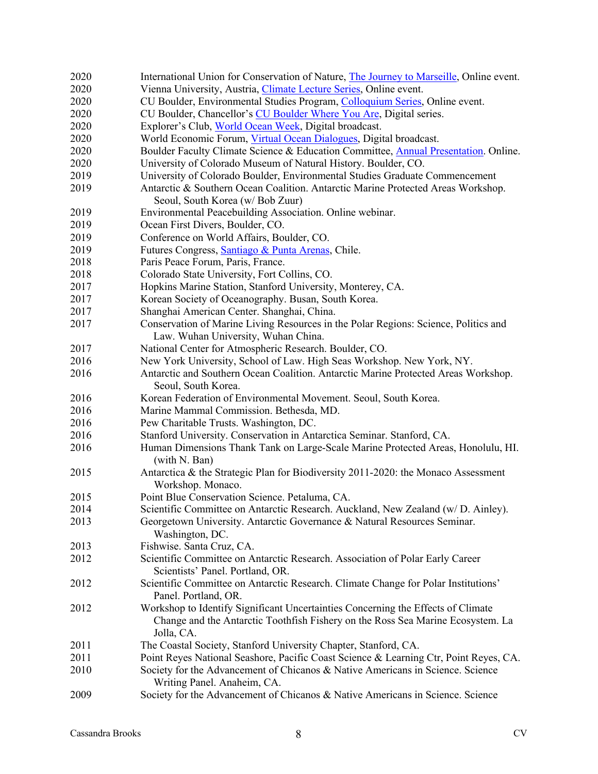| 2020 | International Union for Conservation of Nature, The Journey to Marseille, Online event.                       |
|------|---------------------------------------------------------------------------------------------------------------|
| 2020 | Vienna University, Austria, <i>Climate Lecture Series</i> , Online event.                                     |
| 2020 | CU Boulder, Environmental Studies Program, Colloquium Series, Online event.                                   |
| 2020 | CU Boulder, Chancellor's CU Boulder Where You Are, Digital series.                                            |
| 2020 | Explorer's Club, World Ocean Week, Digital broadcast.                                                         |
| 2020 | World Economic Forum, Virtual Ocean Dialogues, Digital broadcast.                                             |
| 2020 | Boulder Faculty Climate Science & Education Committee, Annual Presentation. Online.                           |
| 2020 | University of Colorado Museum of Natural History. Boulder, CO.                                                |
| 2019 | University of Colorado Boulder, Environmental Studies Graduate Commencement                                   |
| 2019 | Antarctic & Southern Ocean Coalition. Antarctic Marine Protected Areas Workshop.                              |
|      | Seoul, South Korea (w/Bob Zuur)                                                                               |
| 2019 | Environmental Peacebuilding Association. Online webinar.                                                      |
| 2019 | Ocean First Divers, Boulder, CO.                                                                              |
| 2019 | Conference on World Affairs, Boulder, CO.                                                                     |
| 2019 | Futures Congress, Santiago & Punta Arenas, Chile.                                                             |
| 2018 | Paris Peace Forum, Paris, France.                                                                             |
| 2018 | Colorado State University, Fort Collins, CO.                                                                  |
| 2017 | Hopkins Marine Station, Stanford University, Monterey, CA.                                                    |
| 2017 | Korean Society of Oceanography. Busan, South Korea.                                                           |
| 2017 | Shanghai American Center. Shanghai, China.                                                                    |
| 2017 | Conservation of Marine Living Resources in the Polar Regions: Science, Politics and                           |
|      | Law. Wuhan University, Wuhan China.                                                                           |
| 2017 | National Center for Atmospheric Research. Boulder, CO.                                                        |
| 2016 | New York University, School of Law. High Seas Workshop. New York, NY.                                         |
| 2016 | Antarctic and Southern Ocean Coalition. Antarctic Marine Protected Areas Workshop.                            |
|      | Seoul, South Korea.                                                                                           |
| 2016 | Korean Federation of Environmental Movement. Seoul, South Korea.                                              |
| 2016 | Marine Mammal Commission. Bethesda, MD.                                                                       |
| 2016 | Pew Charitable Trusts. Washington, DC.                                                                        |
| 2016 | Stanford University. Conservation in Antarctica Seminar. Stanford, CA.                                        |
| 2016 | Human Dimensions Thank Tank on Large-Scale Marine Protected Areas, Honolulu, HI.<br>(with N. Ban)             |
| 2015 | Antarctica & the Strategic Plan for Biodiversity 2011-2020: the Monaco Assessment                             |
|      | Workshop. Monaco.                                                                                             |
| 2015 | Point Blue Conservation Science. Petaluma, CA.                                                                |
| 2014 | Scientific Committee on Antarctic Research. Auckland, New Zealand (w/D. Ainley).                              |
| 2013 | Georgetown University. Antarctic Governance & Natural Resources Seminar.<br>Washington, DC.                   |
| 2013 | Fishwise. Santa Cruz, CA.                                                                                     |
| 2012 | Scientific Committee on Antarctic Research. Association of Polar Early Career                                 |
|      | Scientists' Panel. Portland, OR.                                                                              |
| 2012 | Scientific Committee on Antarctic Research. Climate Change for Polar Institutions'                            |
|      | Panel. Portland, OR.                                                                                          |
| 2012 | Workshop to Identify Significant Uncertainties Concerning the Effects of Climate                              |
|      | Change and the Antarctic Toothfish Fishery on the Ross Sea Marine Ecosystem. La<br>Jolla, CA.                 |
| 2011 | The Coastal Society, Stanford University Chapter, Stanford, CA.                                               |
| 2011 | Point Reyes National Seashore, Pacific Coast Science & Learning Ctr, Point Reyes, CA.                         |
| 2010 | Society for the Advancement of Chicanos & Native Americans in Science. Science<br>Writing Panel. Anaheim, CA. |
| 2009 | Society for the Advancement of Chicanos & Native Americans in Science. Science                                |
|      |                                                                                                               |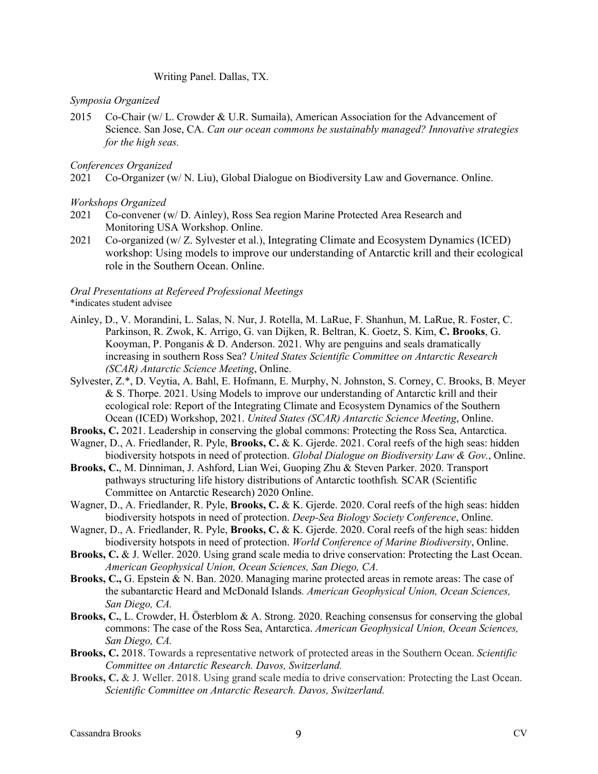#### Writing Panel. Dallas, TX.

#### *Symposia Organized*

2015 Co-Chair (w/ L. Crowder & U.R. Sumaila), American Association for the Advancement of Science. San Jose, CA. *Can our ocean commons be sustainably managed? Innovative strategies for the high seas.*

### *Conferences Organized*

2021 Co-Organizer (w/ N. Liu), Global Dialogue on Biodiversity Law and Governance. Online.

### *Workshops Organized*

- 2021 Co-convener (w/ D. Ainley), Ross Sea region Marine Protected Area Research and Monitoring USA Workshop. Online.
- 2021 Co-organized (w/ Z. Sylvester et al.), Integrating Climate and Ecosystem Dynamics (ICED) workshop: Using models to improve our understanding of Antarctic krill and their ecological role in the Southern Ocean. Online.

#### *Oral Presentations at Refereed Professional Meetings* \*indicates student advisee

- Ainley, D., V. Morandini, L. Salas, N. Nur, J. Rotella, M. LaRue, F. Shanhun, M. LaRue, R. Foster, C. Parkinson, R. Zwok, K. Arrigo, G. van Dijken, R. Beltran, K. Goetz, S. Kim, **C. Brooks**, G. Kooyman, P. Ponganis & D. Anderson. 2021. Why are penguins and seals dramatically increasing in southern Ross Sea? *United States Scientific Committee on Antarctic Research (SCAR) Antarctic Science Meeting*, Online.
- Sylvester, Z.\*, D. Veytia, A. Bahl, E. Hofmann, E. Murphy, N. Johnston, S. Corney, C. Brooks, B. Meyer & S. Thorpe. 2021. Using Models to improve our understanding of Antarctic krill and their ecological role: Report of the Integrating Climate and Ecosystem Dynamics of the Southern Ocean (ICED) Workshop, 2021. *United States (SCAR) Antarctic Science Meeting*, Online.
- **Brooks, C.** 2021. Leadership in conserving the global commons: Protecting the Ross Sea, Antarctica.
- Wagner, D., A. Friedlander, R. Pyle, **Brooks, C.** & K. Gjerde. 2021. Coral reefs of the high seas: hidden biodiversity hotspots in need of protection. *Global Dialogue on Biodiversity Law & Gov.*, Online.
- **Brooks, C.**, M. Dinniman, J. Ashford, Lian Wei, Guoping Zhu & Steven Parker. 2020. Transport pathways structuring life history distributions of Antarctic toothfish*.* SCAR (Scientific Committee on Antarctic Research) 2020 Online.
- Wagner, D., A. Friedlander, R. Pyle, **Brooks, C.** & K. Gjerde. 2020. Coral reefs of the high seas: hidden biodiversity hotspots in need of protection. *Deep-Sea Biology Society Conference*, Online.
- Wagner, D., A. Friedlander, R. Pyle, **Brooks, C.** & K. Gjerde. 2020. Coral reefs of the high seas: hidden biodiversity hotspots in need of protection. *World Conference of Marine Biodiversity*, Online.
- **Brooks, C.** & J. Weller. 2020. Using grand scale media to drive conservation: Protecting the Last Ocean. *American Geophysical Union, Ocean Sciences, San Diego, CA.*
- **Brooks, C.,** G. Epstein & N. Ban. 2020. Managing marine protected areas in remote areas: The case of the subantarctic Heard and McDonald Islands*. American Geophysical Union, Ocean Sciences, San Diego, CA.*
- **Brooks, C.**, L. Crowder, H. Österblom & A. Strong. 2020. Reaching consensus for conserving the global commons: The case of the Ross Sea, Antarctica. *American Geophysical Union, Ocean Sciences, San Diego, CA.*
- **Brooks, C.** 2018. Towards a representative network of protected areas in the Southern Ocean. *Scientific Committee on Antarctic Research. Davos, Switzerland.*
- **Brooks, C.** & J. Weller. 2018. Using grand scale media to drive conservation: Protecting the Last Ocean. *Scientific Committee on Antarctic Research. Davos, Switzerland.*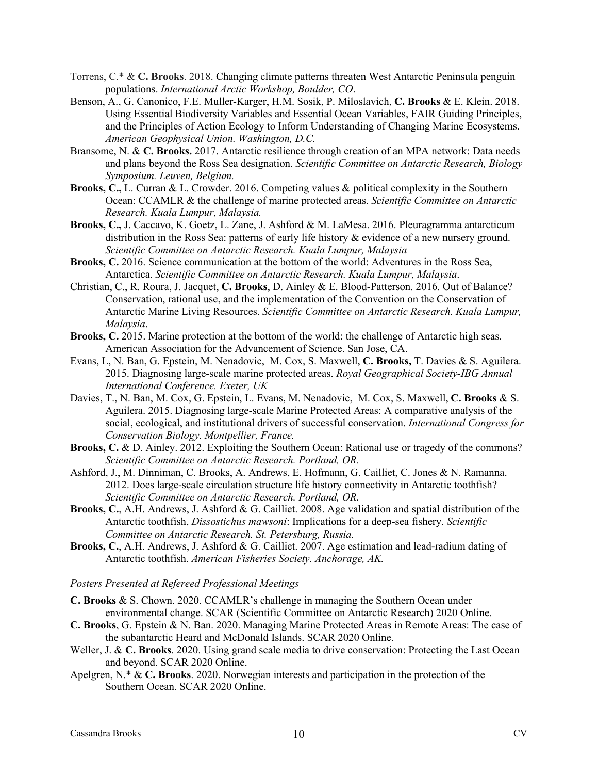- Torrens, C.\* & **C. Brooks**. 2018. Changing climate patterns threaten West Antarctic Peninsula penguin populations. *International Arctic Workshop, Boulder, CO*.
- Benson, A., G. Canonico, F.E. Muller-Karger, H.M. Sosik, P. Miloslavich, **C. Brooks** & E. Klein. 2018. Using Essential Biodiversity Variables and Essential Ocean Variables, FAIR Guiding Principles, and the Principles of Action Ecology to Inform Understanding of Changing Marine Ecosystems. *American Geophysical Union. Washington, D.C.*
- Bransome, N. & **C. Brooks.** 2017. Antarctic resilience through creation of an MPA network: Data needs and plans beyond the Ross Sea designation. *Scientific Committee on Antarctic Research, Biology Symposium. Leuven, Belgium.*
- **Brooks, C.,** L. Curran & L. Crowder. 2016. Competing values & political complexity in the Southern Ocean: CCAMLR & the challenge of marine protected areas. *Scientific Committee on Antarctic Research. Kuala Lumpur, Malaysia.*
- **Brooks, C.,** J. Caccavo, K. Goetz, L. Zane, J. Ashford & M. LaMesa. 2016. Pleuragramma antarcticum distribution in the Ross Sea: patterns of early life history & evidence of a new nursery ground. *Scientific Committee on Antarctic Research. Kuala Lumpur, Malaysia*
- **Brooks, C.** 2016. Science communication at the bottom of the world: Adventures in the Ross Sea, Antarctica. *Scientific Committee on Antarctic Research. Kuala Lumpur, Malaysia*.
- Christian, C., R. Roura, J. Jacquet, **C. Brooks**, D. Ainley & E. Blood-Patterson. 2016. Out of Balance? Conservation, rational use, and the implementation of the Convention on the Conservation of Antarctic Marine Living Resources. *Scientific Committee on Antarctic Research. Kuala Lumpur, Malaysia*.
- **Brooks, C.** 2015. Marine protection at the bottom of the world: the challenge of Antarctic high seas. American Association for the Advancement of Science. San Jose, CA.
- Evans, L, N. Ban, G. Epstein, M. Nenadovic, M. Cox, S. Maxwell, **C. Brooks,** T. Davies & S. Aguilera. 2015. Diagnosing large-scale marine protected areas. *Royal Geographical Society-IBG Annual International Conference. Exeter, UK*
- Davies, T., N. Ban, M. Cox, G. Epstein, L. Evans, M. Nenadovic, M. Cox, S. Maxwell, **C. Brooks** & S. Aguilera. 2015. Diagnosing large-scale Marine Protected Areas: A comparative analysis of the social, ecological, and institutional drivers of successful conservation. *International Congress for Conservation Biology. Montpellier, France.*
- **Brooks, C.** & D. Ainley. 2012. Exploiting the Southern Ocean: Rational use or tragedy of the commons? *Scientific Committee on Antarctic Research. Portland, OR.*
- Ashford, J., M. Dinniman, C. Brooks, A. Andrews, E. Hofmann, G. Cailliet, C. Jones & N. Ramanna. 2012. Does large-scale circulation structure life history connectivity in Antarctic toothfish? *Scientific Committee on Antarctic Research. Portland, OR.*
- **Brooks, C.**, A.H. Andrews, J. Ashford & G. Cailliet. 2008. Age validation and spatial distribution of the Antarctic toothfish, *Dissostichus mawsoni*: Implications for a deep-sea fishery. *Scientific Committee on Antarctic Research. St. Petersburg, Russia.*
- **Brooks, C.**, A.H. Andrews, J. Ashford & G. Cailliet. 2007. Age estimation and lead-radium dating of Antarctic toothfish. *American Fisheries Society. Anchorage, AK.*

#### *Posters Presented at Refereed Professional Meetings*

- **C. Brooks** & S. Chown. 2020. CCAMLR's challenge in managing the Southern Ocean under environmental change. SCAR (Scientific Committee on Antarctic Research) 2020 Online.
- **C. Brooks**, G. Epstein & N. Ban. 2020. Managing Marine Protected Areas in Remote Areas: The case of the subantarctic Heard and McDonald Islands. SCAR 2020 Online.
- Weller, J. & C. Brooks. 2020. Using grand scale media to drive conservation: Protecting the Last Ocean and beyond. SCAR 2020 Online.
- Apelgren, N.\* & **C. Brooks**. 2020. Norwegian interests and participation in the protection of the Southern Ocean. SCAR 2020 Online.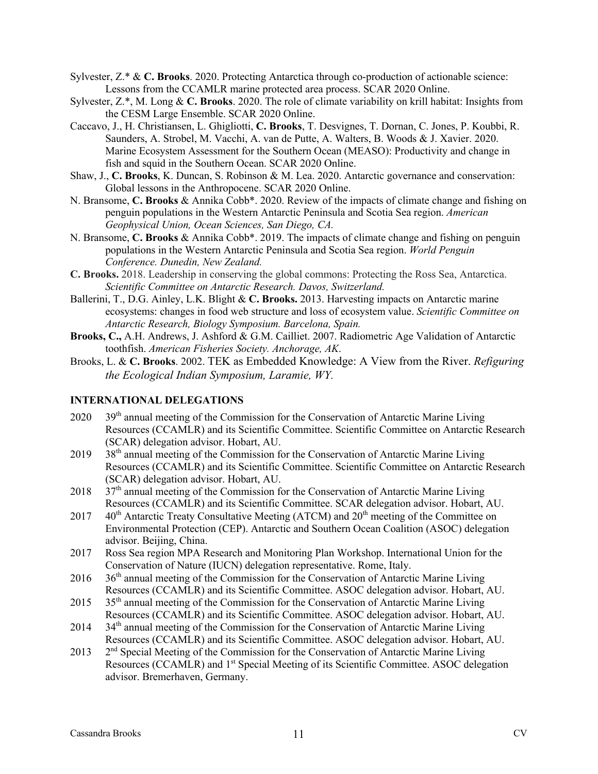- Sylvester, Z.\* & **C. Brooks**. 2020. Protecting Antarctica through co-production of actionable science: Lessons from the CCAMLR marine protected area process. SCAR 2020 Online.
- Sylvester, Z.\*, M. Long & **C. Brooks**. 2020. The role of climate variability on krill habitat: Insights from the CESM Large Ensemble. SCAR 2020 Online.
- Caccavo, J., H. Christiansen, L. Ghigliotti, **C. Brooks**, T. Desvignes, T. Dornan, C. Jones, P. Koubbi, R. Saunders, A. Strobel, M. Vacchi, A. van de Putte, A. Walters, B. Woods & J. Xavier. 2020. Marine Ecosystem Assessment for the Southern Ocean (MEASO): Productivity and change in fish and squid in the Southern Ocean. SCAR 2020 Online.
- Shaw, J., **C. Brooks**, K. Duncan, S. Robinson & M. Lea. 2020. Antarctic governance and conservation: Global lessons in the Anthropocene. SCAR 2020 Online.
- N. Bransome, **C. Brooks** & Annika Cobb\*. 2020. Review of the impacts of climate change and fishing on penguin populations in the Western Antarctic Peninsula and Scotia Sea region. *American Geophysical Union, Ocean Sciences, San Diego, CA.*
- N. Bransome, **C. Brooks** & Annika Cobb\*. 2019. The impacts of climate change and fishing on penguin populations in the Western Antarctic Peninsula and Scotia Sea region. *World Penguin Conference. Dunedin, New Zealand.*
- **C. Brooks.** 2018. Leadership in conserving the global commons: Protecting the Ross Sea, Antarctica. *Scientific Committee on Antarctic Research. Davos, Switzerland.*
- Ballerini, T., D.G. Ainley, L.K. Blight & **C. Brooks.** 2013. Harvesting impacts on Antarctic marine ecosystems: changes in food web structure and loss of ecosystem value. *Scientific Committee on Antarctic Research, Biology Symposium. Barcelona, Spain.*
- **Brooks, C.,** A.H. Andrews, J. Ashford & G.M. Cailliet. 2007. Radiometric Age Validation of Antarctic toothfish. *American Fisheries Society. Anchorage, AK*.
- Brooks, L. & **C. Brooks**. 2002. TEK as Embedded Knowledge: A View from the River. *Refiguring the Ecological Indian Symposium, Laramie, WY.*

# **INTERNATIONAL DELEGATIONS**

- $2020$   $39<sup>th</sup>$  annual meeting of the Commission for the Conservation of Antarctic Marine Living Resources (CCAMLR) and its Scientific Committee. Scientific Committee on Antarctic Research (SCAR) delegation advisor. Hobart, AU.
- $2019$  38<sup>th</sup> annual meeting of the Commission for the Conservation of Antarctic Marine Living Resources (CCAMLR) and its Scientific Committee. Scientific Committee on Antarctic Research (SCAR) delegation advisor. Hobart, AU.
- $2018$   $37<sup>th</sup>$  annual meeting of the Commission for the Conservation of Antarctic Marine Living Resources (CCAMLR) and its Scientific Committee. SCAR delegation advisor. Hobart, AU.
- 2017 40<sup>th</sup> Antarctic Treaty Consultative Meeting (ATCM) and 20<sup>th</sup> meeting of the Committee on Environmental Protection (CEP). Antarctic and Southern Ocean Coalition (ASOC) delegation advisor. Beijing, China.
- 2017 Ross Sea region MPA Research and Monitoring Plan Workshop. International Union for the Conservation of Nature (IUCN) delegation representative. Rome, Italy.
- $2016$  36<sup>th</sup> annual meeting of the Commission for the Conservation of Antarctic Marine Living Resources (CCAMLR) and its Scientific Committee. ASOC delegation advisor. Hobart, AU.
- 2015 35th annual meeting of the Commission for the Conservation of Antarctic Marine Living Resources (CCAMLR) and its Scientific Committee. ASOC delegation advisor. Hobart, AU.
- $2014$   $34<sup>th</sup>$  annual meeting of the Commission for the Conservation of Antarctic Marine Living Resources (CCAMLR) and its Scientific Committee. ASOC delegation advisor. Hobart, AU.
- 2013  $2<sup>nd</sup> Special Meeting of the Commission for the Conservation of Antarctic Marine Living$ Resources (CCAMLR) and 1<sup>st</sup> Special Meeting of its Scientific Committee. ASOC delegation advisor. Bremerhaven, Germany.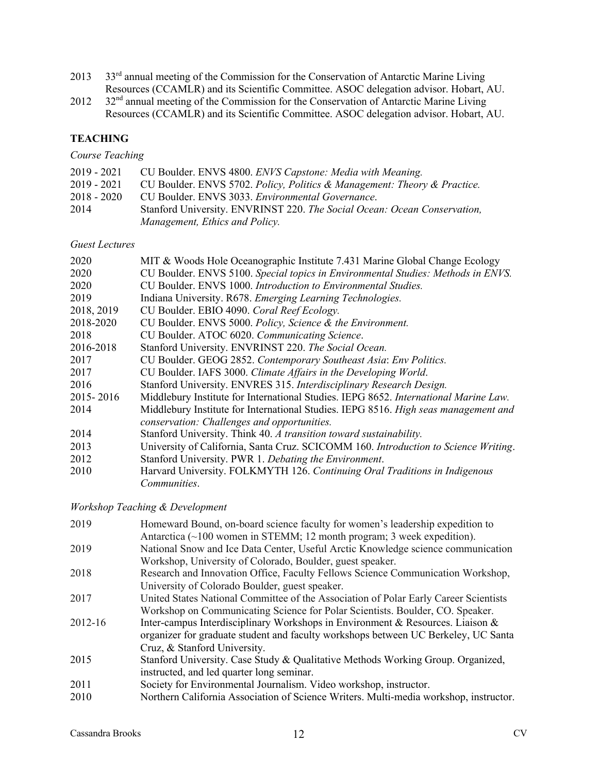- $2013$  3<sup>rd</sup> annual meeting of the Commission for the Conservation of Antarctic Marine Living Resources (CCAMLR) and its Scientific Committee. ASOC delegation advisor. Hobart, AU.
- 2012 32<sup>nd</sup> annual meeting of the Commission for the Conservation of Antarctic Marine Living Resources (CCAMLR) and its Scientific Committee. ASOC delegation advisor. Hobart, AU.

# **TEACHING**

*Course Teaching*

| 2019 - 2021   | CU Boulder. ENVS 4800. ENVS Capstone: Media with Meaning.                |
|---------------|--------------------------------------------------------------------------|
| 2019 - 2021   | CU Boulder. ENVS 5702. Policy, Politics & Management: Theory & Practice. |
| $2018 - 2020$ | CU Boulder. ENVS 3033. Environmental Governance.                         |
| 2014          | Stanford University. ENVRINST 220. The Social Ocean: Ocean Conservation, |
|               | Management, Ethics and Policy.                                           |

# *Guest Lectures*

| 2020       | MIT & Woods Hole Oceanographic Institute 7.431 Marine Global Change Ecology          |
|------------|--------------------------------------------------------------------------------------|
| 2020       | CU Boulder. ENVS 5100. Special topics in Environmental Studies: Methods in ENVS.     |
| 2020       | CU Boulder. ENVS 1000. Introduction to Environmental Studies.                        |
| 2019       | Indiana University. R678. Emerging Learning Technologies.                            |
| 2018, 2019 | CU Boulder. EBIO 4090. Coral Reef Ecology.                                           |
| 2018-2020  | CU Boulder. ENVS 5000. Policy, Science & the Environment.                            |
| 2018       | CU Boulder. ATOC 6020. Communicating Science.                                        |
| 2016-2018  | Stanford University. ENVRINST 220. The Social Ocean.                                 |
| 2017       | CU Boulder. GEOG 2852. Contemporary Southeast Asia: Env Politics.                    |
| 2017       | CU Boulder. IAFS 3000. Climate Affairs in the Developing World.                      |
| 2016       | Stanford University. ENVRES 315. Interdisciplinary Research Design.                  |
| 2015-2016  | Middlebury Institute for International Studies. IEPG 8652. International Marine Law. |
| 2014       | Middlebury Institute for International Studies. IEPG 8516. High seas management and  |
|            | conservation: Challenges and opportunities.                                          |
| 2014       | Stanford University. Think 40. A transition toward sustainability.                   |
| 2013       | University of California, Santa Cruz. SCICOMM 160. Introduction to Science Writing.  |
| 2012       | Stanford University. PWR 1. Debating the Environment.                                |
| 2010       | Harvard University. FOLKMYTH 126. Continuing Oral Traditions in Indigenous           |
|            | Communities.                                                                         |

*Workshop Teaching & Development*

| 2019    | Homeward Bound, on-board science faculty for women's leadership expedition to         |
|---------|---------------------------------------------------------------------------------------|
|         | Antarctica ( $\sim$ 100 women in STEMM; 12 month program; 3 week expedition).         |
|         |                                                                                       |
| 2019    | National Snow and Ice Data Center, Useful Arctic Knowledge science communication      |
|         | Workshop, University of Colorado, Boulder, guest speaker.                             |
| 2018    | Research and Innovation Office, Faculty Fellows Science Communication Workshop,       |
|         | University of Colorado Boulder, guest speaker.                                        |
| 2017    | United States National Committee of the Association of Polar Early Career Scientists  |
|         | Workshop on Communicating Science for Polar Scientists. Boulder, CO. Speaker.         |
| 2012-16 | Inter-campus Interdisciplinary Workshops in Environment & Resources. Liaison &        |
|         | organizer for graduate student and faculty workshops between UC Berkeley, UC Santa    |
|         | Cruz, & Stanford University.                                                          |
| 2015    | Stanford University. Case Study & Qualitative Methods Working Group. Organized,       |
|         | instructed, and led quarter long seminar.                                             |
| 2011    | Society for Environmental Journalism. Video workshop, instructor.                     |
| 2010    | Northern California Association of Science Writers. Multi-media workshop, instructor. |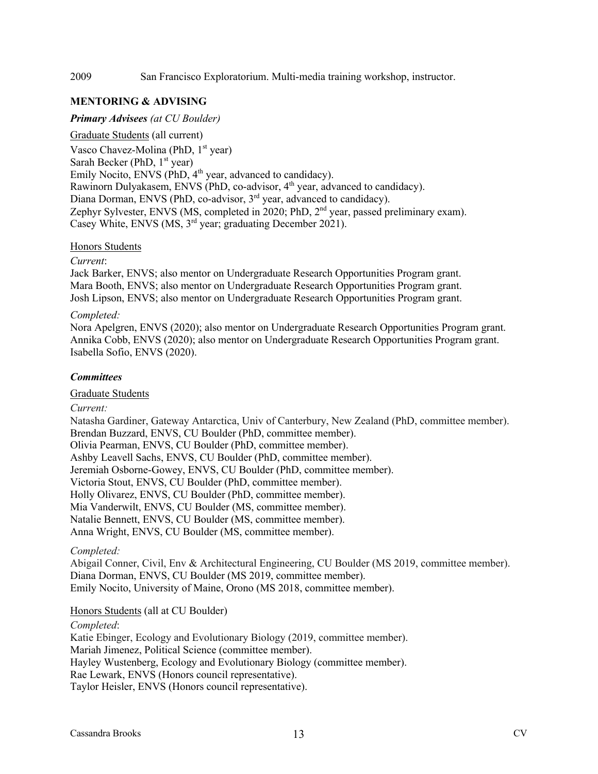2009 San Francisco Exploratorium. Multi-media training workshop, instructor.

## **MENTORING & ADVISING**

### *Primary Advisees (at CU Boulder)*

Graduate Students (all current) Vasco Chavez-Molina (PhD, 1<sup>st</sup> year) Sarah Becker (PhD,  $1<sup>st</sup>$  year) Emily Nocito, ENVS (PhD, 4<sup>th</sup> year, advanced to candidacy). Rawinorn Dulyakasem, ENVS (PhD, co-advisor, 4<sup>th</sup> year, advanced to candidacy). Diana Dorman, ENVS (PhD, co-advisor, 3<sup>rd</sup> year, advanced to candidacy). Zephyr Sylvester, ENVS (MS, completed in 2020; PhD, 2<sup>nd</sup> year, passed preliminary exam). Casey White, ENVS (MS, 3<sup>rd</sup> year; graduating December 2021).

### Honors Students

### *Current*:

Jack Barker, ENVS; also mentor on Undergraduate Research Opportunities Program grant. Mara Booth, ENVS; also mentor on Undergraduate Research Opportunities Program grant. Josh Lipson, ENVS; also mentor on Undergraduate Research Opportunities Program grant.

### *Completed:*

Nora Apelgren, ENVS (2020); also mentor on Undergraduate Research Opportunities Program grant. Annika Cobb, ENVS (2020); also mentor on Undergraduate Research Opportunities Program grant. Isabella Sofio, ENVS (2020).

### *Committees*

#### Graduate Students

#### *Current:*

Natasha Gardiner, Gateway Antarctica, Univ of Canterbury, New Zealand (PhD, committee member). Brendan Buzzard, ENVS, CU Boulder (PhD, committee member). Olivia Pearman, ENVS, CU Boulder (PhD, committee member). Ashby Leavell Sachs, ENVS, CU Boulder (PhD, committee member). Jeremiah Osborne-Gowey, ENVS, CU Boulder (PhD, committee member). Victoria Stout, ENVS, CU Boulder (PhD, committee member). Holly Olivarez, ENVS, CU Boulder (PhD, committee member). Mia Vanderwilt, ENVS, CU Boulder (MS, committee member). Natalie Bennett, ENVS, CU Boulder (MS, committee member). Anna Wright, ENVS, CU Boulder (MS, committee member).

#### *Completed:*

Abigail Conner, Civil, Env & Architectural Engineering, CU Boulder (MS 2019, committee member). Diana Dorman, ENVS, CU Boulder (MS 2019, committee member). Emily Nocito, University of Maine, Orono (MS 2018, committee member).

#### Honors Students (all at CU Boulder)

### *Completed*:

Katie Ebinger, Ecology and Evolutionary Biology (2019, committee member). Mariah Jimenez, Political Science (committee member). Hayley Wustenberg, Ecology and Evolutionary Biology (committee member). Rae Lewark, ENVS (Honors council representative). Taylor Heisler, ENVS (Honors council representative).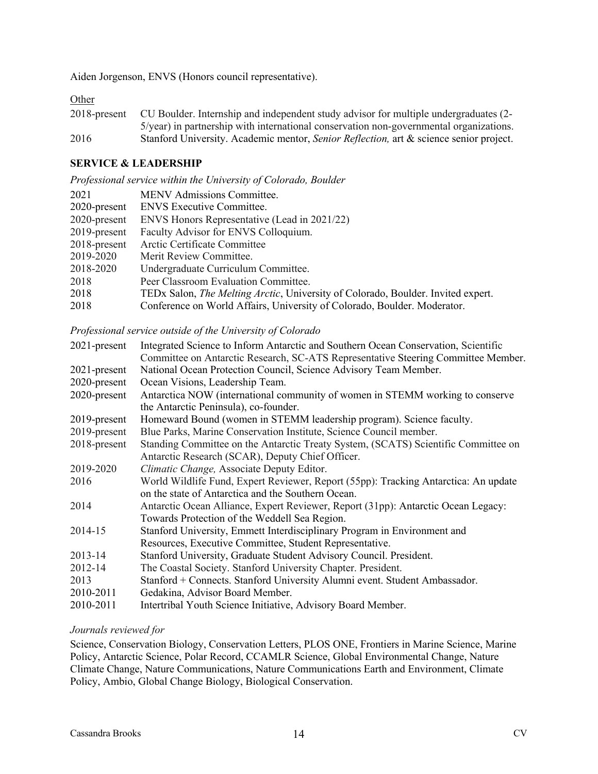Aiden Jorgenson, ENVS (Honors council representative).

### **Other**

|      | 2018-present CU Boulder. Internship and independent study advisor for multiple undergraduates (2- |
|------|---------------------------------------------------------------------------------------------------|
|      | $5/\gamma$ in partnership with international conservation non-governmental organizations.         |
| 2016 | Stanford University. Academic mentor, Senior Reflection, art & science senior project.            |

# **SERVICE & LEADERSHIP**

*Professional service within the University of Colorado, Boulder*

| 2021            | MENV Admissions Committee.                                                               |
|-----------------|------------------------------------------------------------------------------------------|
| $2020$ -present | <b>ENVS</b> Executive Committee.                                                         |
| 2020-present    | ENVS Honors Representative (Lead in 2021/22)                                             |
| $2019$ -present | Faculty Advisor for ENVS Colloquium.                                                     |
| 2018-present    | Arctic Certificate Committee                                                             |
| 2019-2020       | Merit Review Committee.                                                                  |
| 2018-2020       | Undergraduate Curriculum Committee.                                                      |
| 2018            | Peer Classroom Evaluation Committee.                                                     |
| 2018            | TEDx Salon, <i>The Melting Arctic</i> , University of Colorado, Boulder. Invited expert. |
| 2018            | Conference on World Affairs, University of Colorado, Boulder. Moderator.                 |

*Professional service outside of the University of Colorado*

| $2021$ -present | Integrated Science to Inform Antarctic and Southern Ocean Conservation, Scientific  |
|-----------------|-------------------------------------------------------------------------------------|
|                 | Committee on Antarctic Research, SC-ATS Representative Steering Committee Member.   |
| $2021$ -present | National Ocean Protection Council, Science Advisory Team Member.                    |
| 2020-present    | Ocean Visions, Leadership Team.                                                     |
| 2020-present    | Antarctica NOW (international community of women in STEMM working to conserve       |
|                 | the Antarctic Peninsula), co-founder.                                               |
| $2019$ -present | Homeward Bound (women in STEMM leadership program). Science faculty.                |
| 2019-present    | Blue Parks, Marine Conservation Institute, Science Council member.                  |
| 2018-present    | Standing Committee on the Antarctic Treaty System, (SCATS) Scientific Committee on  |
|                 | Antarctic Research (SCAR), Deputy Chief Officer.                                    |
| 2019-2020       | Climatic Change, Associate Deputy Editor.                                           |
| 2016            | World Wildlife Fund, Expert Reviewer, Report (55pp): Tracking Antarctica: An update |
|                 | on the state of Antarctica and the Southern Ocean.                                  |
| 2014            | Antarctic Ocean Alliance, Expert Reviewer, Report (31pp): Antarctic Ocean Legacy:   |
|                 | Towards Protection of the Weddell Sea Region.                                       |
| 2014-15         | Stanford University, Emmett Interdisciplinary Program in Environment and            |
|                 | Resources, Executive Committee, Student Representative.                             |
| 2013-14         | Stanford University, Graduate Student Advisory Council. President.                  |
| 2012-14         | The Coastal Society. Stanford University Chapter. President.                        |
| 2013            | Stanford + Connects. Stanford University Alumni event. Student Ambassador.          |
| 2010-2011       | Gedakina, Advisor Board Member.                                                     |
| 2010-2011       | Intertribal Youth Science Initiative, Advisory Board Member.                        |
|                 |                                                                                     |

# *Journals reviewed for*

Science, Conservation Biology, Conservation Letters, PLOS ONE, Frontiers in Marine Science, Marine Policy, Antarctic Science, Polar Record, CCAMLR Science, Global Environmental Change, Nature Climate Change, Nature Communications, Nature Communications Earth and Environment, Climate Policy, Ambio, Global Change Biology, Biological Conservation.